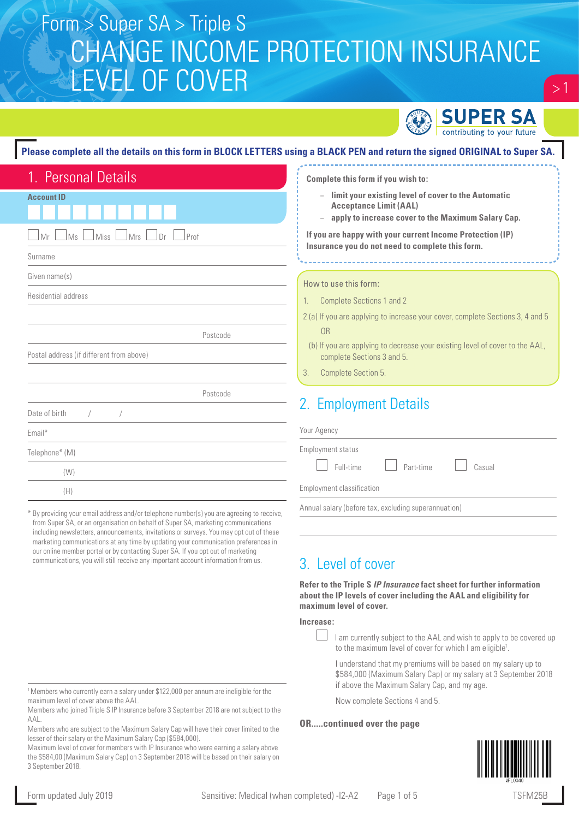# CHANGE INCOME PROTECTION INSURANCE LEVEL OF COVER Form > Super SA > Triple S



 $> 1$ 

### **Please complete all the details on this form in BLOCK LETTERS using a BLACK PEN and return the signed ORIGINAL to Super SA.**

| 1. Personal Details                       |  |  |
|-------------------------------------------|--|--|
| <b>Account ID</b>                         |  |  |
| Ms<br>Miss<br>Mrs<br>Mr<br>J Dr<br>Prof   |  |  |
| Surname                                   |  |  |
| Given name(s)                             |  |  |
| Residential address                       |  |  |
|                                           |  |  |
| Postcode                                  |  |  |
| Postal address (if different from above)  |  |  |
|                                           |  |  |
| Postcode                                  |  |  |
| Date of birth<br>$\sqrt{2}$<br>$\sqrt{2}$ |  |  |
| Email*                                    |  |  |
| Telephone* (M)                            |  |  |
| (W)                                       |  |  |
| (H)                                       |  |  |

\* By providing your email address and/or telephone number(s) you are agreeing to receive, from Super SA, or an organisation on behalf of Super SA, marketing communications including newsletters, announcements, invitations or surveys. You may opt out of these marketing communications at any time by updating your communication preferences in our online member portal or by contacting Super SA. If you opt out of marketing communications, you will still receive any important account information from us.

| <sup>1</sup> Members who currently earn a salary under \$122,000 per annum are ineligible for the |  |
|---------------------------------------------------------------------------------------------------|--|
| maximum level of cover above the AAL.                                                             |  |

Members who joined Triple S IP Insurance before 3 September 2018 are not subject to the AAL.

| Members who are subject to the Maximum Salary Cap will have their cover limited to the |  |
|----------------------------------------------------------------------------------------|--|
| lesser of their salary or the Maximum Salary Cap (\$584,000).                          |  |

Maximum level of cover for members with IP Insurance who were earning a salary above the \$584,00 (Maximum Salary Cap) on 3 September 2018 will be based on their salary on 3 September 2018.

|         | Complete this form if you wish to:<br>limit your existing level of cover to the Automatic<br><b>Acceptance Limit (AAL)</b><br>apply to increase cover to the Maximum Salary Cap.<br>If you are happy with your current Income Protection (IP)<br>Insurance you do not need to complete this form. |
|---------|---------------------------------------------------------------------------------------------------------------------------------------------------------------------------------------------------------------------------------------------------------------------------------------------------|
|         | How to use this form:                                                                                                                                                                                                                                                                             |
| $1_{-}$ | <b>Complete Sections 1 and 2</b>                                                                                                                                                                                                                                                                  |
|         | 2 (a) If you are applying to increase your cover, complete Sections 3, 4 and 5<br>OR                                                                                                                                                                                                              |
|         | (b) If you are applying to decrease your existing level of cover to the AAL,<br>complete Sections 3 and 5.                                                                                                                                                                                        |
| 3.      | Complete Section 5.                                                                                                                                                                                                                                                                               |
|         | 2. Employment Details<br>Your Agency                                                                                                                                                                                                                                                              |

| Employment classification |  |  |
|---------------------------|--|--|

Annual salary (before tax, excluding superannuation)

### 3. Level of cover

**Refer to the Triple S** *IP Insurance* **fact sheet for further information about the IP levels of cover including the AAL and eligibility for maximum level of cover.**

Full-time Part-time Casual

#### **Increase:**

 I am currently subject to the AAL and wish to apply to be covered up to the maximum level of cover for which I am eligible<sup>1</sup>.

I understand that my premiums will be based on my salary up to \$584,000 (Maximum Salary Cap) or my salary at 3 September 2018 if above the Maximum Salary Cap, and my age.

Now complete Sections 4 and 5.

#### **OR.....continued over the page**

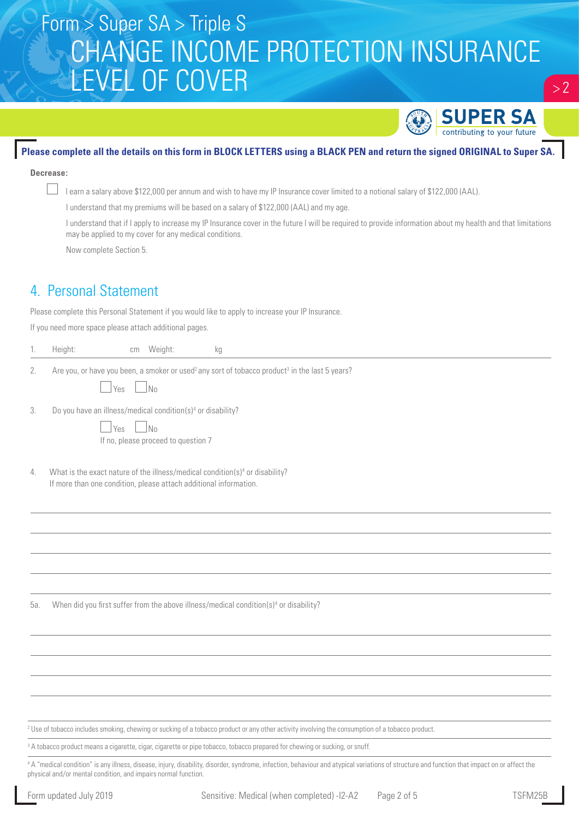## Form > Super SA > Triple S CHANGE INCOME PROTECTION INSURANCE LEVEL OF COVER



 $> 2$ 

#### **Please complete all the details on this form in BLOCK LETTERS using a BLACK PEN and return the signed ORIGINAL to Super SA.**

#### **Decrease:**

I earn a salary above \$122,000 per annum and wish to have my IP Insurance cover limited to a notional salary of \$122,000 (AAL).

I understand that my premiums will be based on a salary of \$122,000 (AAL) and my age.

I understand that if I apply to increase my IP Insurance cover in the future I will be required to provide information about my health and that limitations may be applied to my cover for any medical conditions.

Now complete Section 5.

### 4. Personal Statement

Please complete this Personal Statement if you would like to apply to increase your IP Insurance.

If you need more space please attach additional pages.

| сm<br>$f$ einn<br>1110107<br>. .<br>. . |  |
|-----------------------------------------|--|
|-----------------------------------------|--|

2. Are you, or have you been, a smoker or used<sup>2</sup> any sort of tobacco product<sup>3</sup> in the last 5 years?

| ۰<br>$\sim$<br>$\sim$<br>×<br>۰. |  |  |
|----------------------------------|--|--|
|----------------------------------|--|--|

3. Do you have an illness/medical condition(s)4 or disability?

 $\neg$  Yes  $\neg$  No If no, please proceed to question 7

4. What is the exact nature of the illness/medical condition(s)<sup>4</sup> or disability? If more than one condition, please attach additional information.

5a. When did you first suffer from the above illness/medical condition(s)4 or disability?

2 Use of tobacco includes smoking, chewing or sucking of a tobacco product or any other activity involving the consumption of a tobacco product.

 $^3$  A tobacco product means a cigarette, cigar, cigarette or pipe tobacco, tobacco prepared for chewing or sucking, or snuff.

4 A "medical condition" is any illness, disease, injury, disability, disorder, syndrome, infection, behaviour and atypical variations of structure and function that impact on or affect the physical and/or mental condition, and impairs normal function.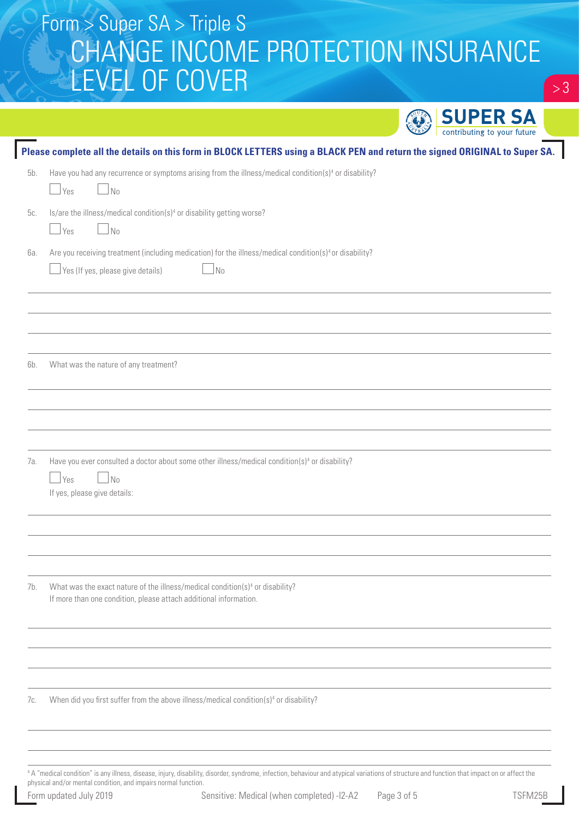# Form > Super SA > Triple S CHANGE INCOME PROTECTION INSURANCE LEVEL OF COVER

|     |                                                                                                                                                                          | <b>SUPER SA</b><br>contributing to your future |
|-----|--------------------------------------------------------------------------------------------------------------------------------------------------------------------------|------------------------------------------------|
|     | Please complete all the details on this form in BLOCK LETTERS using a BLACK PEN and return the signed ORIGINAL to Super SA.                                              |                                                |
| 5b. | Have you had any recurrence or symptoms arising from the illness/medical condition(s) <sup>4</sup> or disability?<br>  Yes<br>N <sub>0</sub>                             |                                                |
| 5c. | Is/are the illness/medical condition(s) <sup>4</sup> or disability getting worse?<br>$\Box$ No<br>$\Box$ Yes                                                             |                                                |
| 6а. | Are you receiving treatment (including medication) for the illness/medical condition(s) <sup>4</sup> or disability?<br>No<br>Yes (If yes, please give details)           |                                                |
|     |                                                                                                                                                                          |                                                |
| 6b. | What was the nature of any treatment?                                                                                                                                    |                                                |
| 7а. | Have you ever consulted a doctor about some other illness/medical condition(s) <sup>4</sup> or disability?<br>$\rfloor$ Yes<br>$\Box$ No<br>If yes, please give details: |                                                |
|     |                                                                                                                                                                          |                                                |
| 7b. | What was the exact nature of the illness/medical condition(s) <sup>4</sup> or disability?<br>If more than one condition, please attach additional information.           |                                                |
|     |                                                                                                                                                                          |                                                |
| 7с. | When did you first suffer from the above illness/medical condition(s) <sup>4</sup> or disability?                                                                        |                                                |
|     |                                                                                                                                                                          |                                                |

4 A "medical condition" is any illness, disease, injury, disability, disorder, syndrome, infection, behaviour and atypical variations of structure and function that impact on or affect the physical and/or mental condition, and impairs normal function.

 $> 3$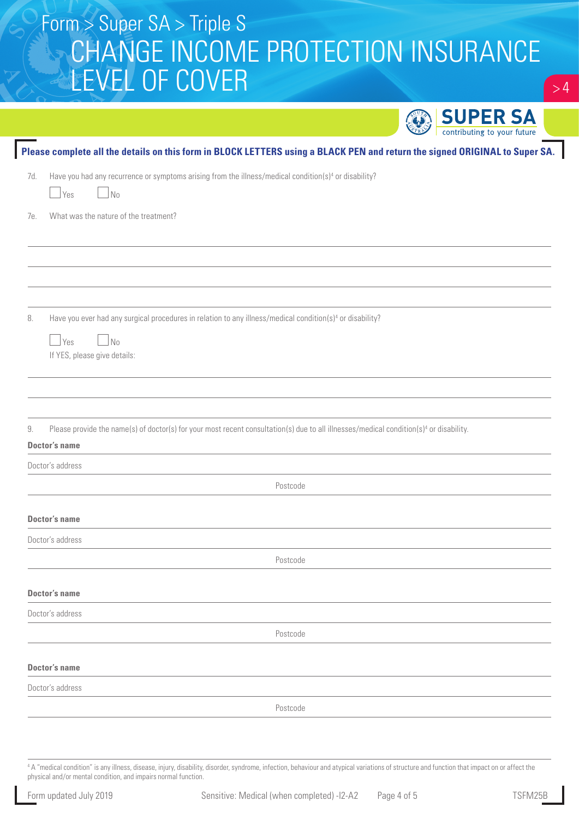# Form > Super SA > Triple S CHANGE INCOME PROTECTION INSURANCE LEVEL OF COVER

|                                                                                                                                                                                        | <b>SUPER SA</b>             |
|----------------------------------------------------------------------------------------------------------------------------------------------------------------------------------------|-----------------------------|
| Please complete all the details on this form in BLOCK LETTERS using a BLACK PEN and return the signed ORIGINAL to Super SA.                                                            | contributing to your future |
| Have you had any recurrence or symptoms arising from the illness/medical condition(s) <sup>4</sup> or disability?<br>7d.<br>  Yes<br>No                                                |                             |
| What was the nature of the treatment?<br>7е.                                                                                                                                           |                             |
|                                                                                                                                                                                        |                             |
| Have you ever had any surgical procedures in relation to any illness/medical condition(s) <sup>4</sup> or disability?<br>8.<br>$\Box$ Yes<br>$\Box$ No<br>If YES, please give details: |                             |
| Please provide the name(s) of doctor(s) for your most recent consultation(s) due to all illnesses/medical condition(s) <sup>4</sup> or disability.<br>9.<br><b>Doctor's name</b>       |                             |
| Doctor's address                                                                                                                                                                       |                             |
| Postcode                                                                                                                                                                               |                             |
| Doctor's name                                                                                                                                                                          |                             |
| Doctor's address                                                                                                                                                                       |                             |
| Postcode                                                                                                                                                                               |                             |
| <b>Doctor's name</b>                                                                                                                                                                   |                             |
| Doctor's address                                                                                                                                                                       |                             |
| Postcode                                                                                                                                                                               |                             |
| Doctor's name                                                                                                                                                                          |                             |
| Doctor's address                                                                                                                                                                       |                             |
| Postcode                                                                                                                                                                               |                             |

4 A "medical condition" is any illness, disease, injury, disability, disorder, syndrome, infection, behaviour and atypical variations of structure and function that impact on or affect the physical and/or mental condition, and impairs normal function.

 $> 4$